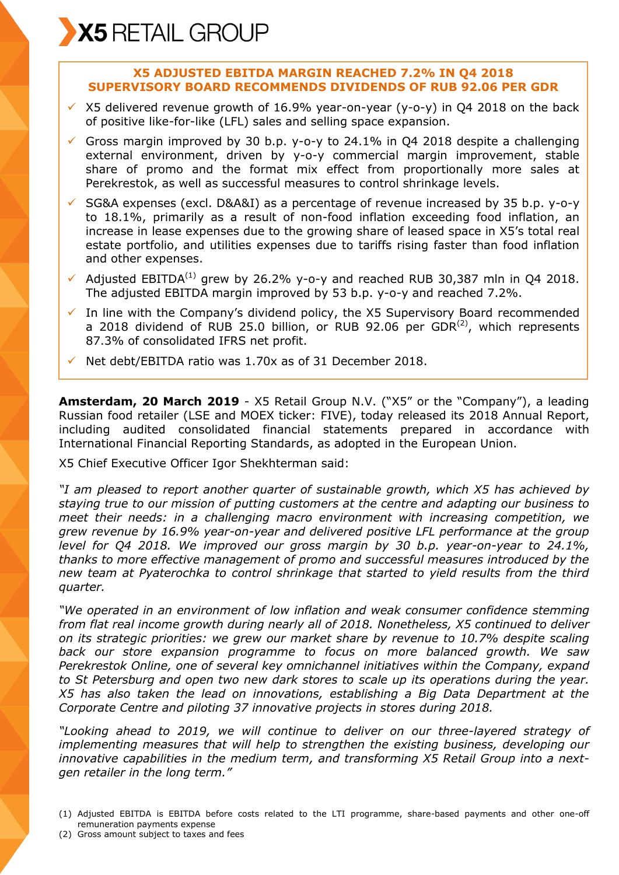## **X5 ADJUSTED EBITDA MARGIN REACHED 7.2% IN Q4 2018 SUPERVISORY BOARD RECOMMENDS DIVIDENDS OF RUB 92.06 PER GDR**

- $\times$  X5 delivered revenue growth of 16.9% year-on-year (y-o-y) in Q4 2018 on the back of positive like-for-like (LFL) sales and selling space expansion.
- Gross margin improved by 30 b.p. y-o-y to 24.1% in Q4 2018 despite a challenging external environment, driven by y-o-y commercial margin improvement, stable share of promo and the format mix effect from proportionally more sales at Perekrestok, as well as successful measures to control shrinkage levels.
- $\checkmark$  SG&A expenses (excl. D&A&I) as a percentage of revenue increased by 35 b.p. y-o-y to 18.1%, primarily as a result of non-food inflation exceeding food inflation, an increase in lease expenses due to the growing share of leased space in X5's total real estate portfolio, and utilities expenses due to tariffs rising faster than food inflation and other expenses.
- $\checkmark$  Adjusted EBITDA<sup>(1)</sup> grew by 26.2% y-o-y and reached RUB 30.387 mln in O4 2018. The adjusted EBITDA margin improved by 53 b.p. y-o-y and reached 7.2%.
- $\checkmark$  In line with the Company's dividend policy, the X5 Supervisory Board recommended a 2018 dividend of RUB 25.0 billion, or RUB 92.06 per GDR $^{(2)}$ , which represents 87.3% of consolidated IFRS net profit.
- $\checkmark$  Net debt/EBITDA ratio was 1.70x as of 31 December 2018.

**Amsterdam, 20 March 2019** - X5 Retail Group N.V. ("X5" or the "Company"), a leading Russian food retailer (LSE and MOEX ticker: FIVE), today released its 2018 Annual Report, including audited consolidated financial statements prepared in accordance with International Financial Reporting Standards, as adopted in the European Union.

X5 Chief Executive Officer Igor Shekhterman said:

*"I am pleased to report another quarter of sustainable growth, which X5 has achieved by staying true to our mission of putting customers at the centre and adapting our business to meet their needs: in a challenging macro environment with increasing competition, we grew revenue by 16.9% year-on-year and delivered positive LFL performance at the group level for Q4 2018. We improved our gross margin by 30 b.p. year-on-year to 24.1%, thanks to more effective management of promo and successful measures introduced by the new team at Pyaterochka to control shrinkage that started to yield results from the third quarter.*

*"We operated in an environment of low inflation and weak consumer confidence stemming from flat real income growth during nearly all of 2018. Nonetheless, X5 continued to deliver on its strategic priorities: we grew our market share by revenue to 10.7% despite scaling back our store expansion programme to focus on more balanced growth. We saw Perekrestok Online, one of several key omnichannel initiatives within the Company, expand to St Petersburg and open two new dark stores to scale up its operations during the year. X5 has also taken the lead on innovations, establishing a Big Data Department at the Corporate Centre and piloting 37 innovative projects in stores during 2018.*

*"Looking ahead to 2019, we will continue to deliver on our three-layered strategy of implementing measures that will help to strengthen the existing business, developing our innovative capabilities in the medium term, and transforming X5 Retail Group into a nextgen retailer in the long term."*

- (1) Adjusted EBITDA is EBITDA before costs related to the LTI programme, share-based payments and other one-off remuneration payments expense
- (2) Gross amount subject to taxes and fees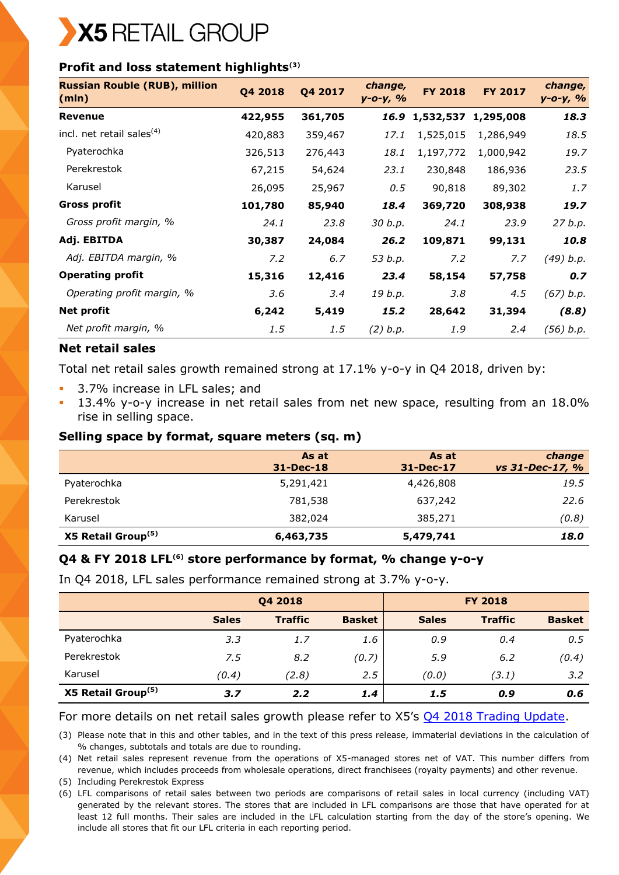

# **Profit and loss statement highlights(3)**

| <b>Russian Rouble (RUB), million</b><br>(mln) | Q4 2018 | Q4 2017 | change,<br>$y - 0 - y, %$ | <b>FY 2018</b> | <b>FY 2017</b> | change,<br>$y - 0 - y, %$ |
|-----------------------------------------------|---------|---------|---------------------------|----------------|----------------|---------------------------|
| <b>Revenue</b>                                | 422,955 | 361,705 |                           | 16.9 1,532,537 | 1,295,008      | 18.3                      |
| incl. net retail sales <sup>(4)</sup>         | 420,883 | 359,467 | 17.1                      | 1,525,015      | 1,286,949      | 18.5                      |
| Pyaterochka                                   | 326,513 | 276,443 | 18.1                      | 1,197,772      | 1,000,942      | 19.7                      |
| Perekrestok                                   | 67,215  | 54,624  | 23.1                      | 230,848        | 186,936        | 23.5                      |
| Karusel                                       | 26,095  | 25,967  | 0.5                       | 90,818         | 89,302         | 1.7                       |
| <b>Gross profit</b>                           | 101,780 | 85,940  | 18.4                      | 369,720        | 308,938        | 19.7                      |
| Gross profit margin, %                        | 24.1    | 23.8    | 30 b.p.                   | 24.1           | 23.9           | 27 b.p.                   |
| Adj. EBITDA                                   | 30,387  | 24,084  | 26.2                      | 109,871        | 99,131         | 10.8                      |
| Adj. EBITDA margin, %                         | 7.2     | 6.7     | 53 b.p.                   | 7.2            | 7.7            | (49) b.p.                 |
| <b>Operating profit</b>                       | 15,316  | 12,416  | 23.4                      | 58,154         | 57,758         | 0.7                       |
| Operating profit margin, %                    | 3.6     | 3.4     | 19 b.p.                   | 3.8            | 4.5            | (67) b.p.                 |
| <b>Net profit</b>                             | 6,242   | 5,419   | 15.2                      | 28,642         | 31,394         | (8.8)                     |
| Net profit margin, %                          | 1.5     | 1.5     | (2) b.p.                  | 1.9            | 2.4            | (56) b.p.                 |

### **Net retail sales**

Total net retail sales growth remained strong at 17.1% y-o-y in Q4 2018, driven by:

- 3.7% increase in LFL sales; and
- 13.4% y-o-y increase in net retail sales from net new space, resulting from an 18.0% rise in selling space.

### **Selling space by format, square meters (sq. m)**

|                                | As at<br>$31 - Dec-18$ | As at<br>31-Dec-17 | change<br>vs 31-Dec-17, % |
|--------------------------------|------------------------|--------------------|---------------------------|
| Pyaterochka                    | 5,291,421              | 4,426,808          | 19.5                      |
| Perekrestok                    | 781,538                | 637,242            | 22.6                      |
| Karusel                        | 382,024                | 385,271            | (0.8)                     |
| X5 Retail Group <sup>(5)</sup> | 6,463,735              | 5,479,741          | 18.0                      |

# **Q4 & FY 2018 LFL(6) store performance by format, % change y-o-y**

In Q4 2018, LFL sales performance remained strong at 3.7% y-o-y.

|                                |              | Q4 2018        |               |              | <b>FY 2018</b> |               |
|--------------------------------|--------------|----------------|---------------|--------------|----------------|---------------|
|                                | <b>Sales</b> | <b>Traffic</b> | <b>Basket</b> | <b>Sales</b> | <b>Traffic</b> | <b>Basket</b> |
| Pyaterochka                    | 3.3          | 1.7            | 1.6           | 0.9          | 0.4            | 0.5           |
| Perekrestok                    | 7.5          | 8.2            | (0.7)         | 5.9          | 6.2            | (0.4)         |
| Karusel                        | (0.4)        | (2.8)          | 2.5           | (0.0)        | (3.1)          | 3.2           |
| X5 Retail Group <sup>(5)</sup> | 3.7          | 2.2            | 1.4           | 1.5          | 0.9            | 0.6           |

### For more details on net retail sales growth please refer to X5's Q4 [2018 Trading Update.](https://www.x5.ru/en/PublishingImages/Pages/Media/News/Q4_2018_Trading_Update_ENG.pdf)

(3) Please note that in this and other tables, and in the text of this press release, immaterial deviations in the calculation of % changes, subtotals and totals are due to rounding.

(4) Net retail sales represent revenue from the operations of X5-managed stores net of VAT. This number differs from revenue, which includes proceeds from wholesale operations, direct franchisees (royalty payments) and other revenue.

(5) Including Perekrestok Express

(6) LFL comparisons of retail sales between two periods are comparisons of retail sales in local currency (including VAT) generated by the relevant stores. The stores that are included in LFL comparisons are those that have operated for at least 12 full months. Their sales are included in the LFL calculation starting from the day of the store's opening. We include all stores that fit our LFL criteria in each reporting period.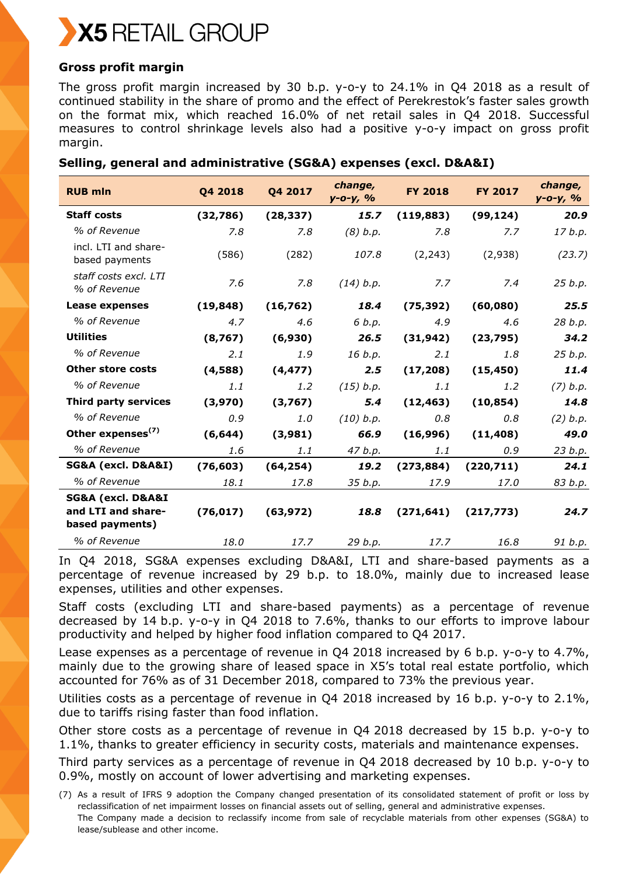

## **Gross profit margin**

The gross profit margin increased by 30 b.p. y-o-y to 24.1% in Q4 2018 as a result of continued stability in the share of promo and the effect of Perekrestok's faster sales growth on the format mix, which reached 16.0% of net retail sales in Q4 2018. Successful measures to control shrinkage levels also had a positive y-o-y impact on gross profit margin.

## **Selling, general and administrative (SG&A) expenses (excl. D&A&I)**

| <b>RUB mln</b>                         | Q4 2018   | Q4 2017   | change,<br>$y - 0 - y, %$ | <b>FY 2018</b> | <b>FY 2017</b> | change,<br>$y - 0 - y, \frac{9}{6}$ |
|----------------------------------------|-----------|-----------|---------------------------|----------------|----------------|-------------------------------------|
| <b>Staff costs</b>                     | (32,786)  | (28, 337) | 15.7                      | (119, 883)     | (99, 124)      | 20.9                                |
| % of Revenue                           | 7.8       | 7.8       | (8) b.p.                  | 7.8            | 7.7            | 17 b.p.                             |
| incl. LTI and share-<br>based payments | (586)     | (282)     | 107.8                     | (2, 243)       | (2,938)        | (23.7)                              |
| staff costs excl. LTI<br>% of Revenue  | 7.6       | 7.8       | (14) b.p.                 | 7.7            | 7.4            | 25 b.p.                             |
| Lease expenses                         | (19, 848) | (16, 762) | 18.4                      | (75, 392)      | (60,080)       | 25.5                                |
| % of Revenue                           | 4.7       | 4.6       | 6 b.p.                    | 4.9            | 4.6            | 28 b.p.                             |
| <b>Utilities</b>                       | (8,767)   | (6,930)   | 26.5                      | (31, 942)      | (23, 795)      | 34.2                                |
| % of Revenue                           | 2.1       | 1.9       | 16 b.p.                   | 2.1            | 1.8            | 25 b.p.                             |
| <b>Other store costs</b>               | (4,588)   | (4, 477)  | 2.5                       | (17, 208)      | (15, 450)      | 11.4                                |
| % of Revenue                           | 1.1       | 1.2       | (15) b.p.                 | 1.1            | 1.2            | (7) b.p.                            |
| Third party services                   | (3,970)   | (3,767)   | 5.4                       | (12, 463)      | (10, 854)      | 14.8                                |
| % of Revenue                           | 0.9       | 1.0       | (10) b.p.                 | 0.8            | 0.8            | (2) b.p.                            |
| Other expenses <sup>(7)</sup>          | (6, 644)  | (3,981)   | 66.9                      | (16,996)       | (11, 408)      | 49.0                                |
| % of Revenue                           | 1.6       | 1.1       | 47 b.p.                   | 1.1            | 0.9            | 23 b.p.                             |
| SG&A (excl. D&A&I)                     | (76, 603) | (64, 254) | 19.2                      | (273, 884)     | (220, 711)     | 24.1                                |
| % of Revenue                           | 18.1      | 17.8      | 35 b.p.                   | 17.9           | 17.0           | 83 b.p.                             |
| SG&A (excl. D&A&I                      |           |           |                           |                |                |                                     |
| and LTI and share-<br>based payments)  | (76, 017) | (63, 972) | 18.8                      | (271, 641)     | (217, 773)     | 24.7                                |
| % of Revenue                           | 18.0      | 17.7      | 29 b.p.                   | 17.7           | 16.8           | 91 b.p.                             |

In Q4 2018, SG&A expenses excluding D&A&I, LTI and share-based payments as a percentage of revenue increased by 29 b.p. to 18.0%, mainly due to increased lease expenses, utilities and other expenses.

Staff costs (excluding LTI and share-based payments) as a percentage of revenue decreased by 14 b.p. y-o-y in Q4 2018 to 7.6%, thanks to our efforts to improve labour productivity and helped by higher food inflation compared to Q4 2017.

Lease expenses as a percentage of revenue in Q4 2018 increased by 6 b.p. y-o-y to 4.7%, mainly due to the growing share of leased space in X5's total real estate portfolio, which accounted for 76% as of 31 December 2018, compared to 73% the previous year.

Utilities costs as a percentage of revenue in Q4 2018 increased by 16 b.p. y-o-y to 2.1%, due to tariffs rising faster than food inflation.

Other store costs as a percentage of revenue in Q4 2018 decreased by 15 b.p. y-o-y to 1.1%, thanks to greater efficiency in security costs, materials and maintenance expenses.

Third party services as a percentage of revenue in Q4 2018 decreased by 10 b.p. y-o-y to 0.9%, mostly on account of lower advertising and marketing expenses.

(7) As a result of IFRS 9 adoption the Company changed presentation of its consolidated statement of profit or loss by reclassification of net impairment losses on financial assets out of selling, general and administrative expenses. The Company made a decision to reclassify income from sale of recyclable materials from other expenses (SG&A) to lease/sublease and other income.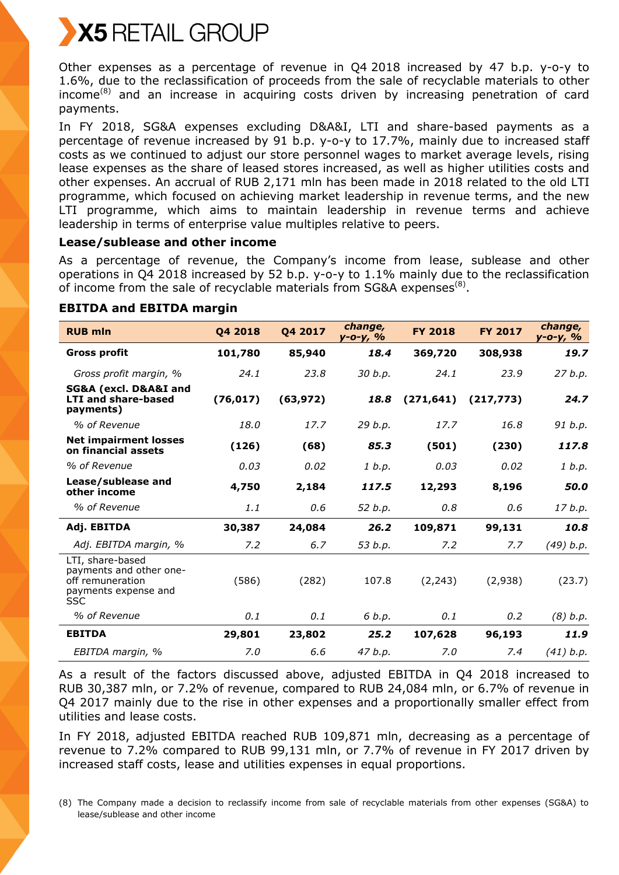

Other expenses as a percentage of revenue in Q4 2018 increased by 47 b.p. y-o-y to 1.6%, due to the reclassification of proceeds from the sale of recyclable materials to other income<sup>(8)</sup> and an increase in acquiring costs driven by increasing penetration of card payments.

In FY 2018, SG&A expenses excluding D&A&I, LTI and share-based payments as a percentage of revenue increased by 91 b.p. y-o-y to 17.7%, mainly due to increased staff costs as we continued to adjust our store personnel wages to market average levels, rising lease expenses as the share of leased stores increased, as well as higher utilities costs and other expenses. An accrual of RUB 2,171 mln has been made in 2018 related to the old LTI programme, which focused on achieving market leadership in revenue terms, and the new LTI programme, which aims to maintain leadership in revenue terms and achieve leadership in terms of enterprise value multiples relative to peers.

### **Lease/sublease and other income**

As a percentage of revenue, the Company's income from lease, sublease and other operations in Q4 2018 increased by 52 b.p. y-o-y to 1.1% mainly due to the reclassification of income from the sale of recyclable materials from SG&A expenses $^{(8)}$ .

| <b>RUB mln</b>                                                                                        | Q4 2018   | Q4 2017   | change,<br>y-o-y, % | <b>FY 2018</b> | <b>FY 2017</b> | change,<br>$y - 0 - y, %$ |
|-------------------------------------------------------------------------------------------------------|-----------|-----------|---------------------|----------------|----------------|---------------------------|
| <b>Gross profit</b>                                                                                   | 101,780   | 85,940    | 18.4                | 369,720        | 308,938        | 19.7                      |
| Gross profit margin, %                                                                                | 24.1      | 23.8      | 30 b.p.             | 24.1           | 23.9           | 27 b.p.                   |
| SG&A (excl. D&A&I and<br><b>LTI and share-based</b><br>payments)                                      | (76, 017) | (63, 972) | 18.8                | (271, 641)     | (217, 773)     | 24.7                      |
| % of Revenue                                                                                          | 18.0      | 17.7      | 29 b.p.             | 17.7           | 16.8           | 91 b.p.                   |
| <b>Net impairment losses</b><br>on financial assets                                                   | (126)     | (68)      | 85.3                | (501)          | (230)          | 117.8                     |
| % of Revenue                                                                                          | 0.03      | 0.02      | 1 b.p.              | 0.03           | 0.02           | 1 b.p.                    |
| Lease/sublease and<br>other income                                                                    | 4,750     | 2,184     | 117.5               | 12,293         | 8,196          | 50.0                      |
| % of Revenue                                                                                          | 1.1       | 0.6       | 52 b.p.             | 0.8            | 0.6            | 17 b.p.                   |
| Adj. EBITDA                                                                                           | 30,387    | 24,084    | 26.2                | 109,871        | 99,131         | 10.8                      |
| Adj. EBITDA margin, %                                                                                 | 7.2       | 6.7       | 53 b.p.             | 7.2            | 7.7            | (49) b.p.                 |
| LTI, share-based<br>payments and other one-<br>off remuneration<br>payments expense and<br><b>SSC</b> | (586)     | (282)     | 107.8               | (2, 243)       | (2,938)        | (23.7)                    |
| % of Revenue                                                                                          | 0.1       | 0.1       | 6 b.p.              | 0.1            | 0.2            | $(8)$ b.p.                |
| <b>EBITDA</b>                                                                                         | 29,801    | 23,802    | 25.2                | 107,628        | 96,193         | 11.9                      |
| EBITDA margin, %                                                                                      | 7.0       | 6.6       | 47 b.p.             | 7.0            | 7.4            | (41) b.p.                 |

### **EBITDA and EBITDA margin**

As a result of the factors discussed above, adjusted EBITDA in Q4 2018 increased to RUB 30,387 mln, or 7.2% of revenue, compared to RUB 24,084 mln, or 6.7% of revenue in Q4 2017 mainly due to the rise in other expenses and a proportionally smaller effect from utilities and lease costs.

In FY 2018, adjusted EBITDA reached RUB 109,871 mln, decreasing as a percentage of revenue to 7.2% compared to RUB 99,131 mln, or 7.7% of revenue in FY 2017 driven by increased staff costs, lease and utilities expenses in equal proportions.

(8) The Company made a decision to reclassify income from sale of recyclable materials from other expenses (SG&A) to lease/sublease and other income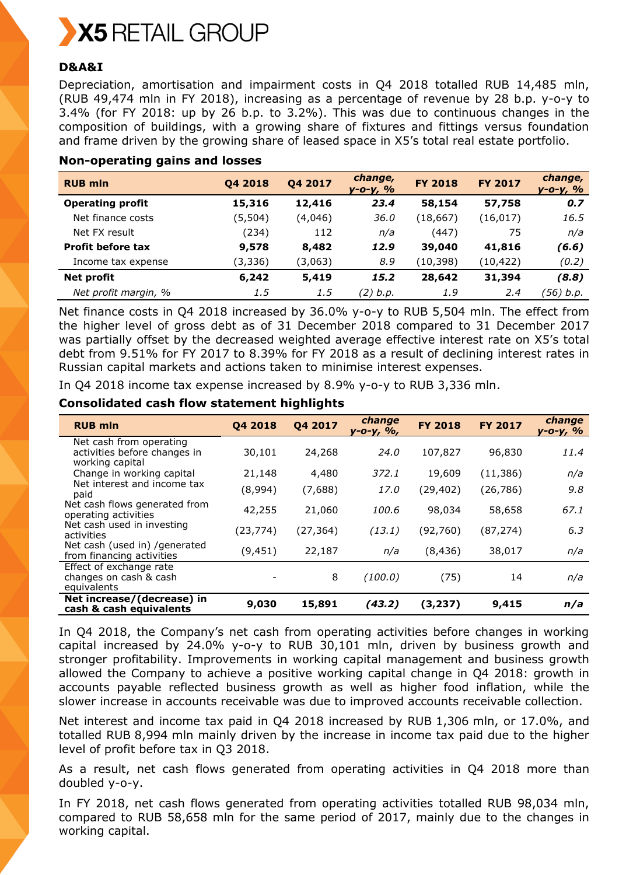

## **D&A&I**

Depreciation, amortisation and impairment costs in Q4 2018 totalled RUB 14,485 mln, (RUB 49,474 mln in FY 2018), increasing as a percentage of revenue by 28 b.p. y-o-y to 3.4% (for FY 2018: up by 26 b.p. to 3.2%). This was due to continuous changes in the composition of buildings, with a growing share of fixtures and fittings versus foundation and frame driven by the growing share of leased space in X5's total real estate portfolio.

| <b>RUB mln</b>           | Q4 2018  | Q4 2017 | change,<br>$y - 0 - y, %$ | <b>FY 2018</b> | <b>FY 2017</b> | change,<br>$y - 0 - y, 9/0$ |
|--------------------------|----------|---------|---------------------------|----------------|----------------|-----------------------------|
| <b>Operating profit</b>  | 15,316   | 12,416  | 23.4                      | 58,154         | 57,758         | 0.7                         |
| Net finance costs        | (5,504)  | (4,046) | 36.0                      | (18, 667)      | (16, 017)      | 16.5                        |
| Net FX result            | (234)    | 112     | n/a                       | (447)          | 75             | n/a                         |
| <b>Profit before tax</b> | 9,578    | 8,482   | 12.9                      | 39,040         | 41,816         | (6.6)                       |
| Income tax expense       | (3, 336) | (3,063) | 8.9                       | (10, 398)      | (10, 422)      | (0.2)                       |
| Net profit               | 6,242    | 5,419   | 15.2                      | 28,642         | 31,394         | (8.8)                       |
| Net profit margin, %     | 1.5      | 1.5     | (2) b.p.                  | 1.9            | 2.4            | (56) b.p.                   |

### **Non-operating gains and losses**

Net finance costs in Q4 2018 increased by 36.0% y-o-y to RUB 5,504 mln. The effect from the higher level of gross debt as of 31 December 2018 compared to 31 December 2017 was partially offset by the decreased weighted average effective interest rate on X5's total debt from 9.51% for FY 2017 to 8.39% for FY 2018 as a result of declining interest rates in Russian capital markets and actions taken to minimise interest expenses.

In Q4 2018 income tax expense increased by 8.9% y-o-y to RUB 3,336 mln.

## **Consolidated cash flow statement highlights**

| <b>RUB mln</b>                                                             | 04 2018   | Q4 2017   | change<br>у-о-у, %, | <b>FY 2018</b> | <b>FY 2017</b> | change<br>у-о-у, % |
|----------------------------------------------------------------------------|-----------|-----------|---------------------|----------------|----------------|--------------------|
| Net cash from operating<br>activities before changes in<br>working capital | 30,101    | 24,268    | 24.0                | 107,827        | 96,830         | 11.4               |
| Change in working capital                                                  | 21,148    | 4,480     | 372.1               | 19,609         | (11, 386)      | n/a                |
| Net interest and income tax<br>paid                                        | (8,994)   | (7,688)   | 17.0                | (29, 402)      | (26, 786)      | 9.8                |
| Net cash flows generated from<br>operating activities                      | 42,255    | 21,060    | 100.6               | 98,034         | 58,658         | 67.1               |
| Net cash used in investing<br>activities                                   | (23, 774) | (27, 364) | (13.1)              | (92,760)       | (87, 274)      | 6,3                |
| Net cash (used in) / generated<br>from financing activities                | (9, 451)  | 22,187    | n/a                 | (8, 436)       | 38,017         | n/a                |
| Effect of exchange rate<br>changes on cash & cash<br>equivalents           |           | 8         | (100.0)             | (75)           | 14             | n/a                |
| Net increase/(decrease) in<br>cash & cash equivalents                      | 9,030     | 15,891    | (43.2)              | (3, 237)       | 9,415          | n/a                |

In Q4 2018, the Company's net cash from operating activities before changes in working capital increased by 24.0% y-o-y to RUB 30,101 mln, driven by business growth and stronger profitability. Improvements in working capital management and business growth allowed the Company to achieve a positive working capital change in Q4 2018: growth in accounts payable reflected business growth as well as higher food inflation, while the slower increase in accounts receivable was due to improved accounts receivable collection.

Net interest and income tax paid in Q4 2018 increased by RUB 1,306 mln, or 17.0%, and totalled RUB 8,994 mln mainly driven by the increase in income tax paid due to the higher level of profit before tax in Q3 2018.

As a result, net cash flows generated from operating activities in Q4 2018 more than doubled y-o-y.

In FY 2018, net cash flows generated from operating activities totalled RUB 98,034 mln, compared to RUB 58,658 mln for the same period of 2017, mainly due to the changes in working capital.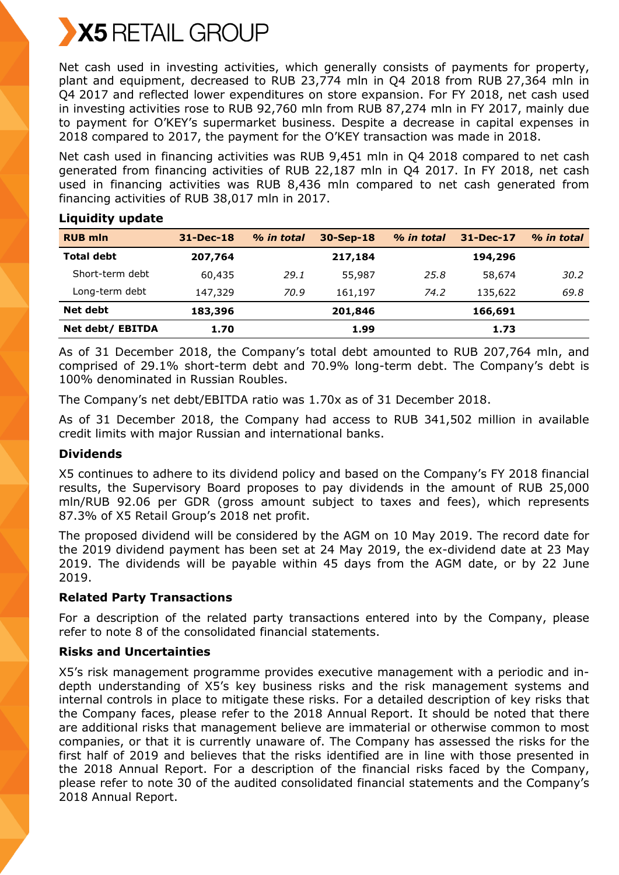

Net cash used in investing activities, which generally consists of payments for property, plant and equipment, decreased to RUB 23,774 mln in Q4 2018 from RUB 27,364 mln in Q4 2017 and reflected lower expenditures on store expansion. For FY 2018, net cash used in investing activities rose to RUB 92,760 mln from RUB 87,274 mln in FY 2017, mainly due to payment for O'KEY's supermarket business. Despite a decrease in capital expenses in 2018 compared to 2017, the payment for the O'KEY transaction was made in 2018.

Net cash used in financing activities was RUB 9,451 mln in Q4 2018 compared to net cash generated from financing activities of RUB 22,187 mln in Q4 2017. In FY 2018, net cash used in financing activities was RUB 8,436 mln compared to net cash generated from financing activities of RUB 38,017 mln in 2017.

| <b>RUB mln</b>    | 31-Dec-18 | % in total | 30-Sep-18 | % in total | $31 - Dec-17$ | % in total |
|-------------------|-----------|------------|-----------|------------|---------------|------------|
| <b>Total debt</b> | 207,764   |            | 217,184   |            | 194,296       |            |
| Short-term debt   | 60,435    | 29.1       | 55,987    | 25.8       | 58,674        | 30.2       |
| Long-term debt    | 147,329   | 70.9       | 161,197   | 74.2       | 135,622       | 69.8       |
| Net debt          | 183,396   |            | 201,846   |            | 166,691       |            |
| Net debt/ EBITDA  | 1.70      |            | 1.99      |            | 1.73          |            |

**Liquidity update**

As of 31 December 2018, the Company's total debt amounted to RUB 207,764 mln, and comprised of 29.1% short-term debt and 70.9% long-term debt. The Company's debt is 100% denominated in Russian Roubles.

The Company's net debt/EBITDA ratio was 1.70x as of 31 December 2018.

As of 31 December 2018, the Company had access to RUB 341,502 million in available credit limits with major Russian and international banks.

## **Dividends**

X5 continues to adhere to its dividend policy and based on the Company's FY 2018 financial results, the Supervisory Board proposes to pay dividends in the amount of RUB 25,000 mln/RUB 92.06 per GDR (gross amount subject to taxes and fees), which represents 87.3% of X5 Retail Group's 2018 net profit.

The proposed dividend will be considered by the AGM on 10 May 2019. The record date for the 2019 dividend payment has been set at 24 May 2019, the ex-dividend date at 23 May 2019. The dividends will be payable within 45 days from the AGM date, or by 22 June 2019.

### **Related Party Transactions**

For a description of the related party transactions entered into by the Company, please refer to note 8 of the consolidated financial statements.

### **Risks and Uncertainties**

X5's risk management programme provides executive management with a periodic and indepth understanding of X5's key business risks and the risk management systems and internal controls in place to mitigate these risks. For a detailed description of key risks that the Company faces, please refer to the 2018 Annual Report. It should be noted that there are additional risks that management believe are immaterial or otherwise common to most companies, or that it is currently unaware of. The Company has assessed the risks for the first half of 2019 and believes that the risks identified are in line with those presented in the 2018 Annual Report. For a description of the financial risks faced by the Company, please refer to note 30 of the audited consolidated financial statements and the Company's 2018 Annual Report.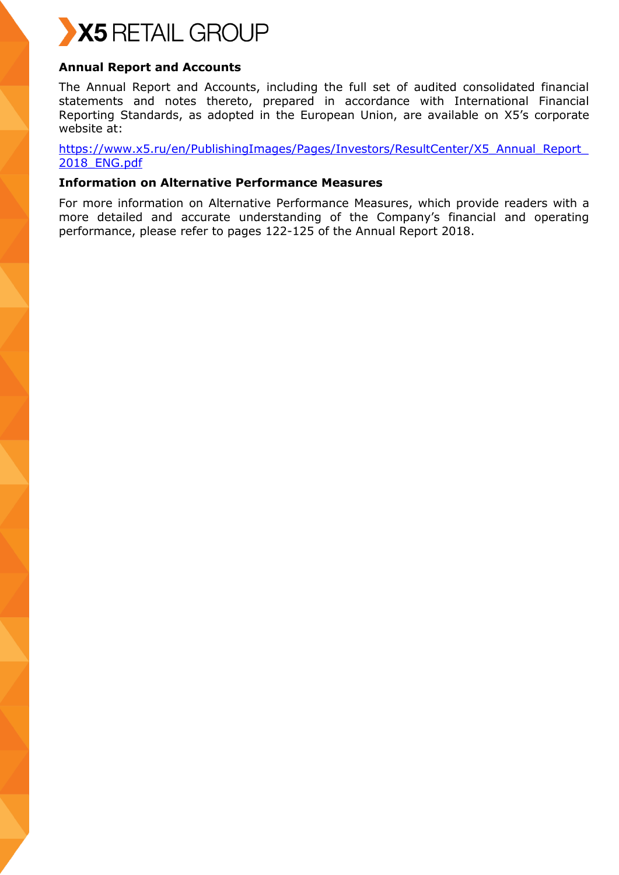

# **Annual Report and Accounts**

The Annual Report and Accounts, including the full set of audited consolidated financial statements and notes thereto, prepared in accordance with International Financial Reporting Standards, as adopted in the European Union, are available on X5's corporate website at:

[https://www.x5.ru/en/PublishingImages/Pages/Investors/ResultCenter/X5\\_Annual\\_Report\\_](https://www.x5.ru/en/PublishingImages/Pages/Investors/ResultCenter/X5_Annual_Report_2018_ENG.pdf) [2018\\_ENG.pdf](https://www.x5.ru/en/PublishingImages/Pages/Investors/ResultCenter/X5_Annual_Report_2018_ENG.pdf)

### **Information on Alternative Performance Measures**

For more information on Alternative Performance Measures, which provide readers with a more detailed and accurate understanding of the Company's financial and operating performance, please refer to pages 122-125 of the Annual Report 2018.